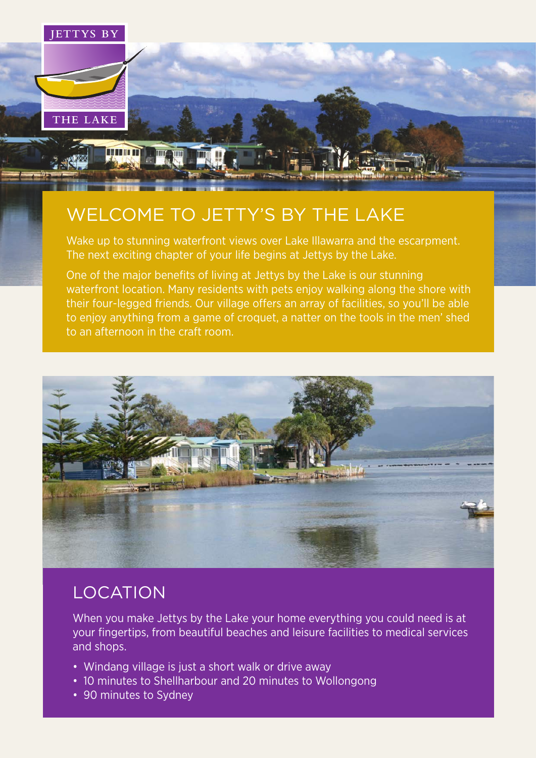

# WELCOME TO JETTY'S BY THE LAKE

Wake up to stunning waterfront views over Lake Illawarra and the escarpment. The next exciting chapter of your life begins at Jettys by the Lake.

One of the major benefits of living at Jettys by the Lake is our stunning waterfront location. Many residents with pets enjoy walking along the shore with **Example 1** their four-legged friends. Our village offers an array of facilities, so you'll be able to enjoy anything from a game of croquet, a natter on the tools in the men' shed to an afternoon in the craft room.



### LOCATION

When you make Jettys by the Lake your home everything you could need is at your fingertips, from beautiful beaches and leisure facilities to medical services and shops.

- Windang village is just a short walk or drive away
- 10 minutes to Shellharbour and 20 minutes to Wollongong
- 90 minutes to Sydney